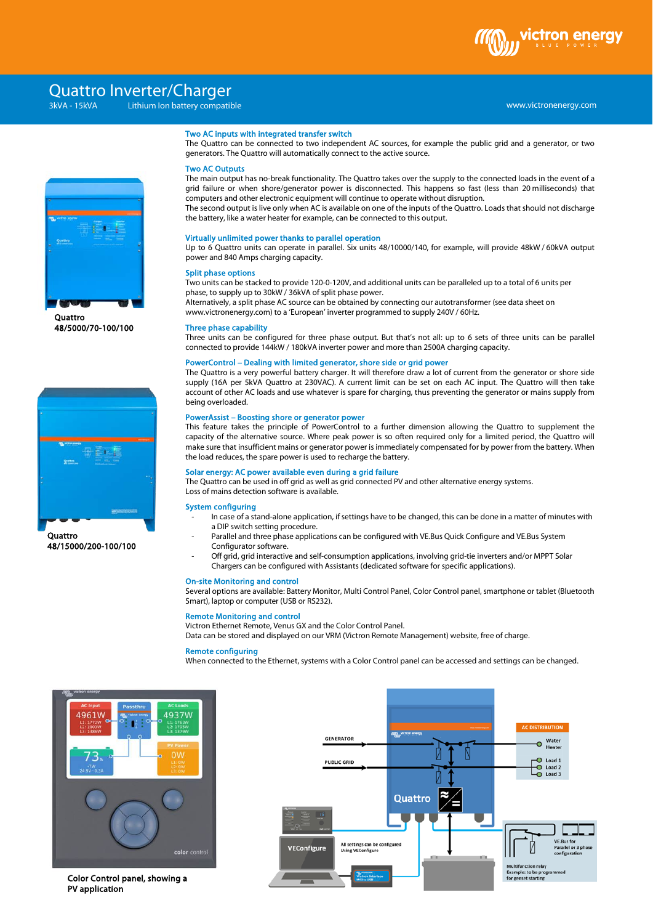

# Quattro Inverter/Charger

# www.victronenergy.com xxx 3kVA - 15kVA Lithium Ion battery compatible

Two AC Outputs



**Ouattro** 48/5000/70-100/100



48/15000/200-100/100

Virtually unlimited power thanks to parallel operation

Two AC inputs with integrated transfer switch

generators. The Quattro will automatically connect to the active source.

the battery, like a water heater for example, can be connected to this output.

computers and other electronic equipment will continue to operate without disruption.

Up to 6 Quattro units can operate in parallel. Six units 48/10000/140, for example, will provide 48kW / 60kVA output power and 840 Amps charging capacity.

The Quattro can be connected to two independent AC sources, for example the public grid and a generator, or two

The main output has no-break functionality. The Quattro takes over the supply to the connected loads in the event of a grid failure or when shore/generator power is disconnected. This happens so fast (less than 20 milliseconds) that

The second output is live only when AC is available on one of the inputs of the Quattro. Loads that should not discharge

### Split phase options

Two units can be stacked to provide 120-0-120V, and additional units can be paralleled up to a total of 6 units per phase, to supply up to 30kW / 36kVA of split phase power.

Alternatively, a split phase AC source can be obtained by connecting our autotransformer (see data sheet on www.victronenergy.com) to a 'European' inverter programmed to supply 240V / 60Hz.

### Three phase capability

Three units can be configured for three phase output. But that's not all: up to 6 sets of three units can be parallel

### PowerControl – Dealing with limited generator, shore side or grid power

supply (16A per 5kVA Quattro at 230VAC). A current limit can be set on each AC input. The Quattro will then take account of other AC loads and use whatever is spare for charging, thus preventing the generator or mains supply from being overloaded.

This feature takes the principle of PowerControl to a further dimension allowing the Quattro to supplement the capacity of the alternative source. Where peak power is so often required only for a limited period, the Quattro will make sure that insufficient mains or generator power is immediately compensated for by power from the battery. When the load reduces, the spare power is used to recharge the battery.

The Quattro can be used in off grid as well as grid connected PV and other alternative energy systems. Loss of mains detection software is available.

### System configuring

- a DIP switch setting procedure.
- Configurator software.

### On-site Monitoring and control

Several options are available: Battery Monitor, Multi Control Panel, Color Control panel, smartphone or tablet (Bluetooth Smart), laptop or computer (USB or RS232).

### Remote Monitoring and control Victron Ethernet Remote, Venus GX and the Color Control Panel.

Data can be stored and displayed on our VRM (Victron Remote Management) website, free of charge.

### Remote configuring

When connected to the Ethernet, systems with a Color Control panel can be accessed and settings can be changed.



Color Control panel, showing a PV application



connected to provide 144kW / 180kVA inverter power and more than 2500A charging capacity.

The Quattro is a very powerful battery charger. It will therefore draw a lot of current from the generator or shore side

# PowerAssist – Boosting shore or generator power

# Solar energy: AC power available even during a grid failure

- In case of a stand-alone application, if settings have to be changed, this can be done in a matter of minutes with
- Parallel and three phase applications can be configured with VE.Bus Quick Configure and VE.Bus System
- Off grid, grid interactive and self-consumption applications, involving grid-tie inverters and/or MPPT Solar Chargers can be configured with Assistants (dedicated software for specific applications).